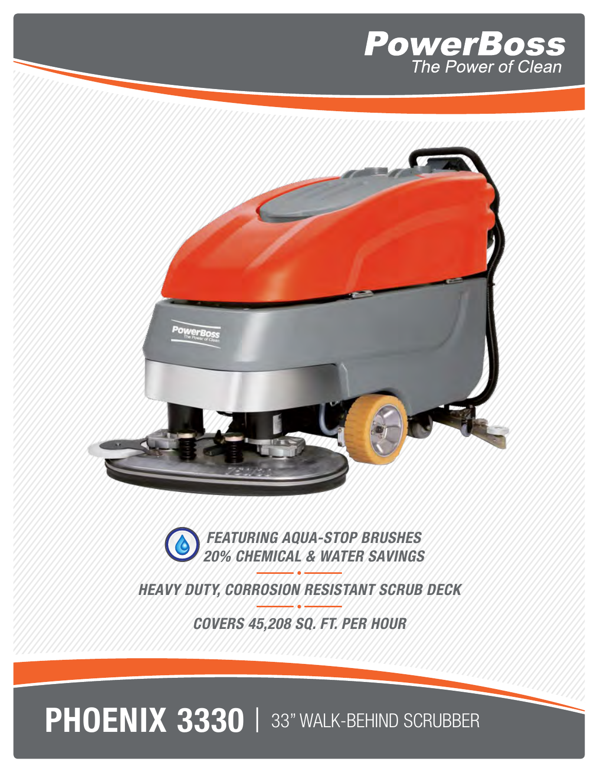





**HEAVY DUTY, CORROSION RESISTANT SCRUB DECK**

**COVERS 45,208 SQ. FT. PER HOUR**

## PHOENIX 3330 | 33" WALK-BEHIND SCRUBBER